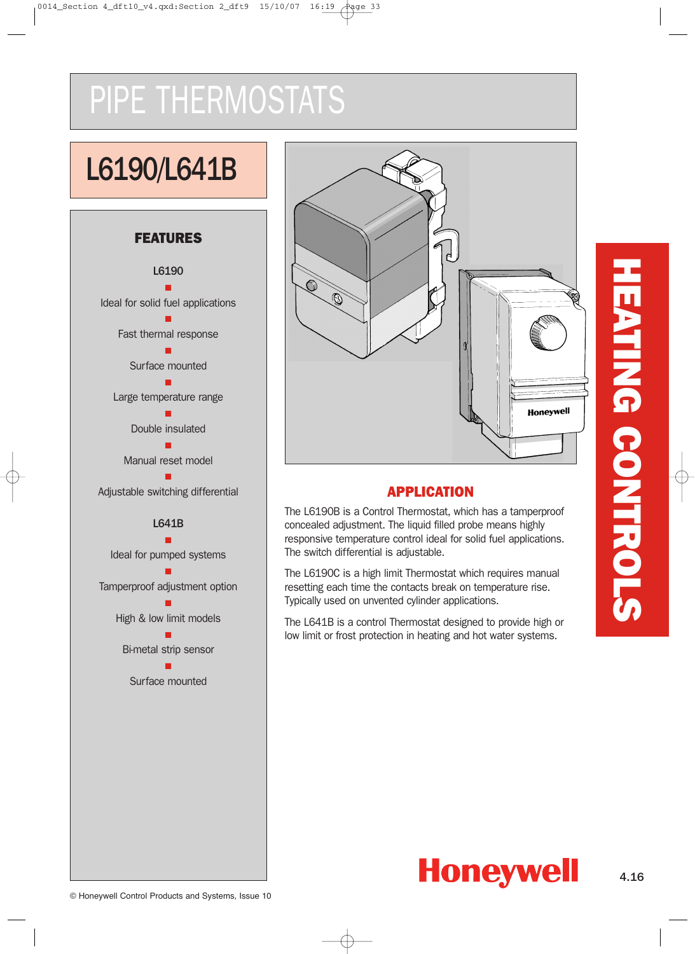# PIPE THERMOSTATS

# L6190/L641B

### **FEATURES**





### **APPLICATION**

The L6190B is a Control Thermostat, which has a tamperproof concealed adjustment. The liquid filled probe means highly responsive temperature control ideal for solid fuel applications. The switch differential is adjustable.

The L6190C is a high limit Thermostat which requires manual resetting each time the contacts break on temperature rise. Typically used on unvented cylinder applications.

The L641B is a control Thermostat designed to provide high or low limit or frost protection in heating and hot water systems.

4.16